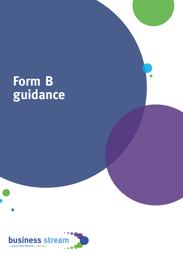# **Form B guidance**

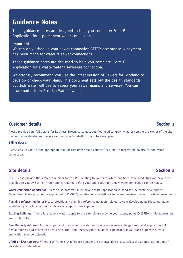# **Guidance Notes**

These guidance notes are designed to help you complete: Form B – Application for a permanent water connection.

### **Important**

We can only schedule your sewer connection AFTER acceptance & payment has been made for water & sewer connections

These guidance notes are designed to help you complete: Form B – Application for a waste water / sewerage connection.

We strongly recommend you use the latest version of Sewers for Scotland to develop or check your plans. This document sets out the design standards Scottish Water will use to assess your sewer mains and services. You can [download it from Scottish Water's website](https://www.scottishwater.co.uk/-/media/ScottishWater/Document-Hub/Business-and-Developers/Connecting-to-our-network/All-connections-information/SewersForScotlandv4.pdf)

### **Customer details Section 1**

Please provide your full details for Business Stream to contact you. We need to know whether you are the owner of the site, the contractor developing the site on the owner's behalf, or the future occupier.

### **Billing details**

Please ensure you tick the appropriate box for customer / main contact / occupier to receive the invoice for the water connection.

## **Site details Section 2**

PDE: Please provide the reference number for the PDE relating to your site, which has been concluded. This will have been provided to you by Scottish Water and is required before your application for a new water connection can be made.

**Water connection application:** Please also note you must have a water application in hand for the same development. Otherwise, please provide the supply point ID (SPID) number for an existing site where the sewer network is being extended.

**Planning refence numbers:** Please provide any planning reference numbers related to your development. These are made available by your local authority. Please only apply once approved.

**Existing building:** If there is already a water supply to the site, please provide your supply point ID (SPID) – this appears on your water bills.

**New Property Address:** As the property will be liable for water and waste water usage charges You must supply the full postal address and postcode of your site. The Land Registry can provide your postcode. If you don't supply this, your application may be delayed.

**UPRN or SAA numbers**: Where a UPRN or SAA reference number are not available please select the appropriate option of give details under other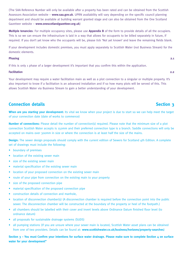(The SAA Reference Number will only be available after a property has been rated and can be obtained from the Scottish Assessors Association website – **[www.saa.gov.uk](http://www.saa.gov.uk)**. UPRN availability will vary depending on the specific council planning department and should be available at building warrant granted stage and can also be obtained from the One Scotland Gazetteer website – **[www.onescotlandgazetteer.org.uk](http://www.onescotlandgazetteer.org.uk)**)

**Multiple tenancies**: For multiple occupancy sites, please use **Appendix B** of the form to provide details of all the occupiers. This is so we can ensure the infrastructure is laid in a way that allows for occupants to be billed separately in future, if required. If you don't yet know who the occupants will be, please tick 'Not yet known' and leave the remaining fields blank.

If your development includes domestic premises, you must apply separately to Scottish Water (not Business Stream) for the domestic elements.

### **Phasing 2.1**

If this is only 1 phase of a larger development it's important that you confirm this within the application.

### **Facilitation 2.2**

Your development may require a water facilitation main as well as a plot connection to a singular or multiple property. It's also important to know if a facilitation is an advanced installation and if so how many plots will be served of this. This allows Scottish Water via Business Stream to gain a better understanding of your development.

# **Connection details Section 3**

**When are you starting your development:** Its vital we know when your project is due to start so we can help meet the target of your connection date (date of works to commence)

**Number of connections:** Please detail the number of connection(s) required. Please note that the minimum size of a plot connection Scottish Water accepts is 150mm and their preferred connection type is a branch. Saddle connections will only be accepted on mains over 300mm in size or where the connection is at least half the size of the mains.

**Design:** The sewer design proposals should comply with the current edition of Sewers for Scotland 4th Edition. A complete set of drawings must include the following:

- boundary of premises
- location of the existing sewer main
- size of the existing sewer main
- material specification of the existing sewer main
- location of your proposed connection on the existing sewer main
- route of your pipe from connection on the existing main to your property
- size of the proposed connection pipe
- material specification of the proposed connection pipe
- construction details of connection and manhole,
- location of disconnection chamber(s) (A disconnection chamber is required before the connection point into the public sewer. The disconnection chamber will be constructed at the boundary of the property or heel of the footpath.)
- all chambers should be labelled with their cover and invert levels above Ordinance Datum finished floor level (to ordnance datum)
- all proposals for sustainable drainage systems (SUDS)
- all pumping stations (If you are unsure where your sewer main is located, Scottish Water asset plans can be obtained from one of two providers. Details can be found at: **[www.scottishwater.co.uk/business/horizons/property-searches](http://www.scottishwater.co.uk/business/horizons/property-searches)**)

Section 3 – You must Confirm your intentions for surface water drainage. Please make sure to complete Section 4 on surface **water for your development"**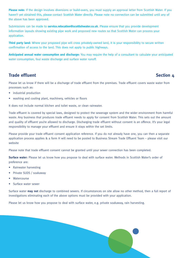**Please note:** If the design involves diversions or build-overs, you must supply an approval letter from Scottish Water. If you haven't yet obtained this, please contact Scottish Water directly. Please note no connection can be submitted until any of the above has been approved.

Submissions can be made to **service.relocation@scottishwater.co.uk**. Please ensure that you provide development information layouts showing existing pipe work and proposed new routes so that Scottish Water can process your application.

**Third party land:** Where your proposed pipe will cross privately-owned land, it is your responsibility to secure written confirmation of access to the land. This does not apply to public highways.

**Anticipated annual water consumption and discharge:** You may require the help of a consultant to calculate your anticipated water consumption, foul waste discharge and surface water runoff.

# **Trade effluent** Section 4

Please let us know if there will be a discharge of trade effluent from the premises. Trade effluent covers waste water from processes such as:

- industrial production
- washing and cooling plant, machinery, vehicles or floors

It does not include normal kitchen and toilet waste, or clean rainwater.

Trade effluent is covered by special laws, designed to protect the sewerage system and the wider environment from harmful waste. Any business that produces trade effluent needs to apply for consent from Scottish Water. This sets out the amount and quality of effluent you're allowed to discharge. Discharging trade effluent without consent is an offence. It's your legal responsibility to manage your effluent and ensure it stays within the set limits.

Please provide your trade effluent consent application reference. If you do not already have one, you can then a separate application process applies & a form H will need to be posted to Business Stream Trade Effluent Team – please visit our website

Please note that trade effluent consent cannot be granted until your sewer connection has been completed.

**Surface water:** Please let us know how you propose to deal with surface water. Methods in Scottish Water's order of preference are:

- Rainwater harvesting
- Private SUDS / soakaway
- Watercourse
- Surface water sewer

Surface water **may not** discharge to combined sewers. If circumstances on site allow no other method, then a full report of investigations eliminating each of the above options must be provided with your application.

Please let us know how you propose to deal with surface water, e.g. private soakaway, rain harvesting.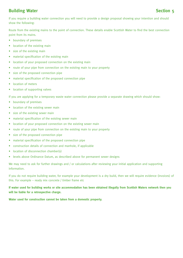# **Building Water Section 5**

If you require a building water connection you will need to provide a design proposal showing your intention and should show the following:

Route from the existing mains to the point of connection. These details enable Scottish Water to find the best connection point from its mains.

- boundary of premises
- location of the existing main
- size of the existing main
- material specification of the existing main
- location of your proposed connection on the existing main
- route of your pipe from connection on the existing main to your property
- size of the proposed connection pipe
- material specification of the proposed connection pipe
- location of meters
- location of supporting valves

If you are applying for a temporary waste water connection please provide a separate drawing which should show:

- boundary of premises
- location of the existing sewer main
- size of the existing sewer main
- material specification of the existing sewer main
- location of your proposed connection on the existing sewer main
- route of your pipe from connection on the existing main to your property
- size of the proposed connection pipe
- material specification of the proposed connection pipe
- construction details of connection and manhole, if applicable
- location of disconnection chamber(s)
- levels above Ordinance Datum, as described above for permanent sewer designs

We may need to ask for further drawings and / or calculations after reviewing your initial application and supporting information.

If you do not require building water, for example your development is a dry build, then we will require evidence (invoices) of this. For example – ready mix concrete / timber frame etc

**If water used for building works or site accommodation has been obtained illegally from Scottish Waters network then you will be liable for a retrospective charge.** 

**Water used for construction cannot be taken from a domestic property.**